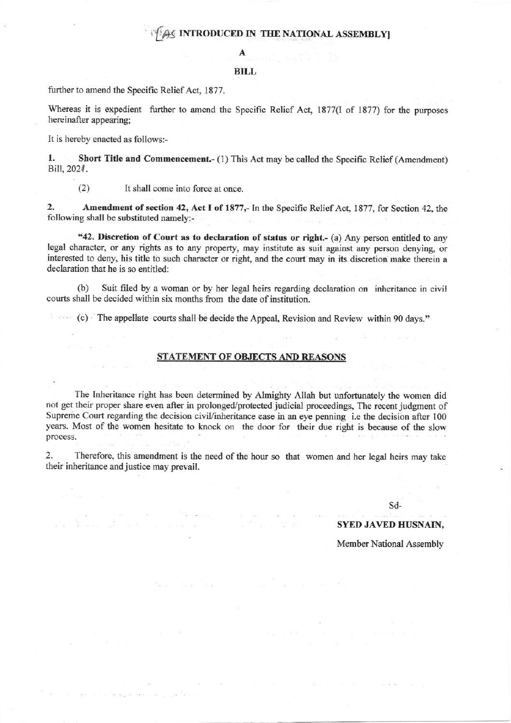# AS INTRODUCED IN THE NATIONAL ASSEMBLYI

A

### BILL

further to amend the Specific Relief Act, 1877.

 $\mathcal{A}_{\text{eff}}$  ,  $\mathcal{A}_{\text{eff}}$  ,

 $\alpha$  is a compared in  $\alpha$ 

 $\sim_{\rm H}$  .  $\sim$ 

Whereas it is expedient further to amend the Specific Relief Act, 1877(I of 1877) for the purposes hereinafter appearing;

It is hereby enacted as follows:-

1. Short Title and Commencement.- (1) This Act may be called the Specific Relief (Amendment) Bill, 2024.

 $(2)$ It shall come into force at once.

2. Amendment of section 42, Act I of 1877,- In the Specific Relief Act, 1877, for Section 42, the following shall be substituted namely:-

"42. Discretion of Court as to declaration of status or right.- (a) Any person entitled to any legal character, or any rights as to any property, may institute as suit against any person denying, or interested to deny, his title to such character or right, and the court may in its discretion make therein a declaration that he is so entitled:

Suit filed by a woman or by her legal heirs regarding declaration on inheritance in civil  $(b)$ courts shall be decided within six months from the date of institution.

(c) The appellate courts shall be decide the Appeal, Revision and Review within 90 days."

#### STATEMENT OF OBJECTS AND REASONS

The Inheritance right has been determined by Almighty Allah but unfortunately the women did not get their proper share even after in prolonged/protected judicial proceedings, The recent judgment of Supreme Court regarding the decision civil/inheritance case in an eye penning i.e the decision after 100 years. Most of the women hesitate to knock on the door for their due right is because of the slow process.

 $\overline{2}$ . Therefore, this amendment is the need of the hour so that women and her legal heirs may take their inheritance and justice may prevail.

## Sd-

## **SYED JAVED HUSNAIN,**

Member National Assembly